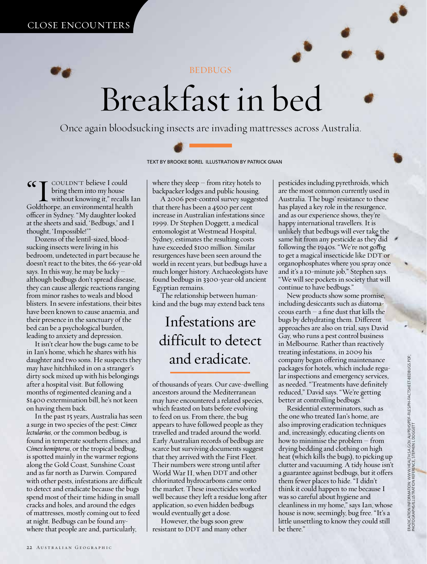

**BEDBUGS** 

# Breakfast in bed

Once again bloodsucking insects are invading mattresses across Australia.



TEXT BY BROOKE BOREL ILLUSTRATION BY PATRICK GNAN

**66 T** COULDN'T believe I could bring them into my house without knowing it," recalls Ian Goldthorpe, an environmental health officer in Sydney. "My daughter looked at the sheets and said, 'Bedbugs,' and I thought, 'Impossible!'"

Dozens of the lentil-sized, bloodsucking insects were living in his bedroom, undetected in part because he doesn't react to the bites, the 66-year-old says. In this way, he may be lucky – although bedbugs don't spread disease, they can cause allergic reactions ranging from minor rashes to weals and blood blisters. In severe infestations, their bites have been known to cause anaemia, and their presence in the sanctuary of the bed can be a psychological burden, leading to anxiety and depression.

It isn't clear how the bugs came to be in Ian's home, which he shares with his daughter and two sons. He suspects they may have hitchhiked in on a stranger's dirty sock mixed up with his belongings after a hospital visit. But following months of regimented cleaning and a \$1400 extermination bill, he's not keen on having them back.

In the past 15 years, Australia has seen a surge in two species of the pest: *Cimex lectularius*, or the common bedbug, is found in temperate southern climes; and *Cimex hemipterus*, or the tropical bedbug, is spotted mainly in the warmer regions along the Gold Coast, Sunshine Coast and as far north as Darwin. Compared with other pests, infestations are difficult to detect and eradicate because the bugs spend most of their time hiding in small cracks and holes, and around the edges of mattresses, mostly coming out to feed at night. Bedbugs can be found anywhere that people are and, particularly,

where they sleep – from ritzy hotels to backpacker lodges and public housing.

A 2006 pest-control survey suggested that there has been a 4500 per cent increase in Australian infestations since 1999. Dr Stephen Doggett, a medical entomologist at Westmead Hospital, Sydney, estimates the resulting costs have exceeded \$100 million. Similar resurgences have been seen around the world in recent years, but bedbugs have a much longer history. Archaeologists have found bedbugs in 3300-year-old ancient Egyptian remains.

The relationship between humankind and the bugs may extend back tens

## Infestations are difficult to detect and eradicate.

of thousands of years. Our cave-dwelling ancestors around the Mediterranean may have encountered a related species, which feasted on bats before evolving to feed on us. From there, the bug appears to have followed people as they travelled and traded around the world. Early Australian records of bedbugs are scarce but surviving documents suggest that they arrived with the First Fleet. Their numbers were strong until after World War II, when DDT and other chlorinated hydrocarbons came onto the market. These insecticides worked well because they left a residue long after application, so even hidden bedbugs would eventually get a dose.

However, the bugs soon grew resistant to DDT and many other

pesticides including pyrethroids, which are the most common currently used in Australia. The bugs' resistance to these has played a key role in the resurgence, and as our experience shows, they're happy international travellers. It is unlikely that bedbugs will ever take the same hit from any pesticide as they did following the 1940s. "We're not going to get a magical insecticide like DDT or organophosphates where you spray once and it's a 10-minute job," Stephen says. "We will see pockets in society that will continue to have bedbugs."

New products show some promise, including desiccants such as diatomaceous earth – a fine dust that kills the bugs by dehydrating them. Different approaches are also on trial, says David Gay, who runs a pest control business in Melbourne. Rather than reactively treating infestations, in 2009 his company began offering maintenance packages for hotels, which include regular inspections and emergency services, as needed. "Treatments have definitely reduced," David says. "We're getting better at controlling bedbugs."

Residential exterminators, such as the one who treated Ian's home, are also improving eradication techniques and, increasingly, educating clients on how to minimise the problem – from drying bedding and clothing on high heat (which kills the bugs), to picking up clutter and vacuuming. A tidy house isn't a guarantee against bedbugs, but it offers them fewer places to hide. "I didn't think it could happen to me because I was so careful about hygiene and cleanliness in my home," says Ian, whose house is now, seemingly, bug free. "It's a little unsettling to know they could still be there."